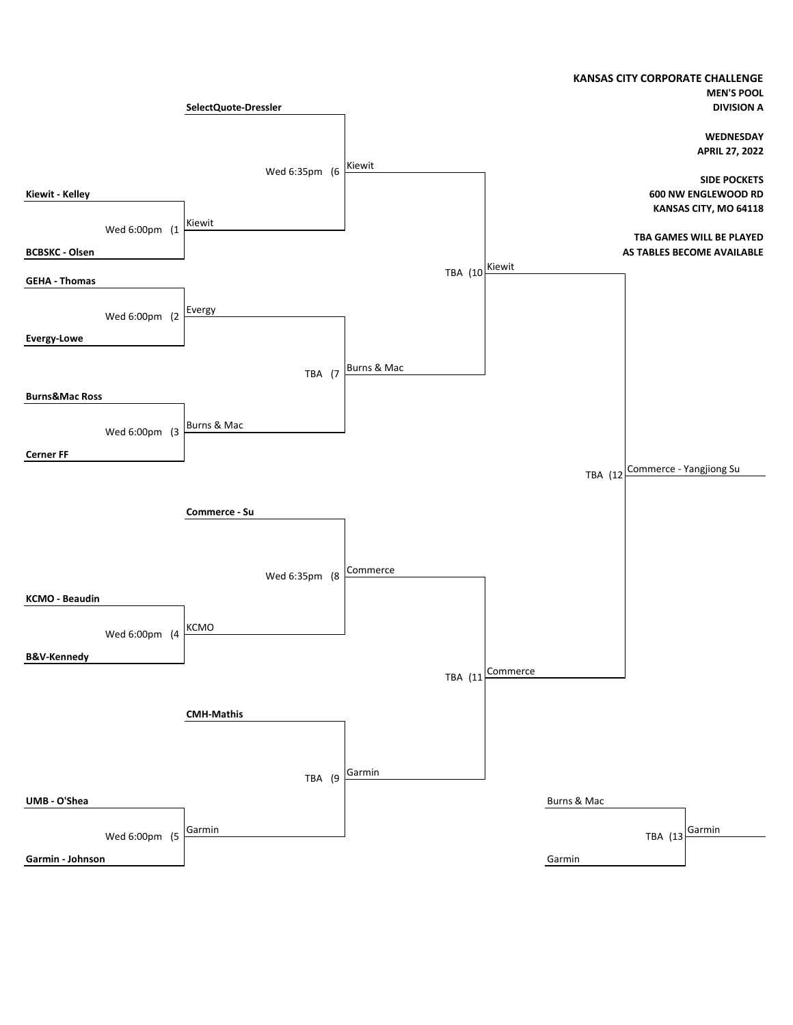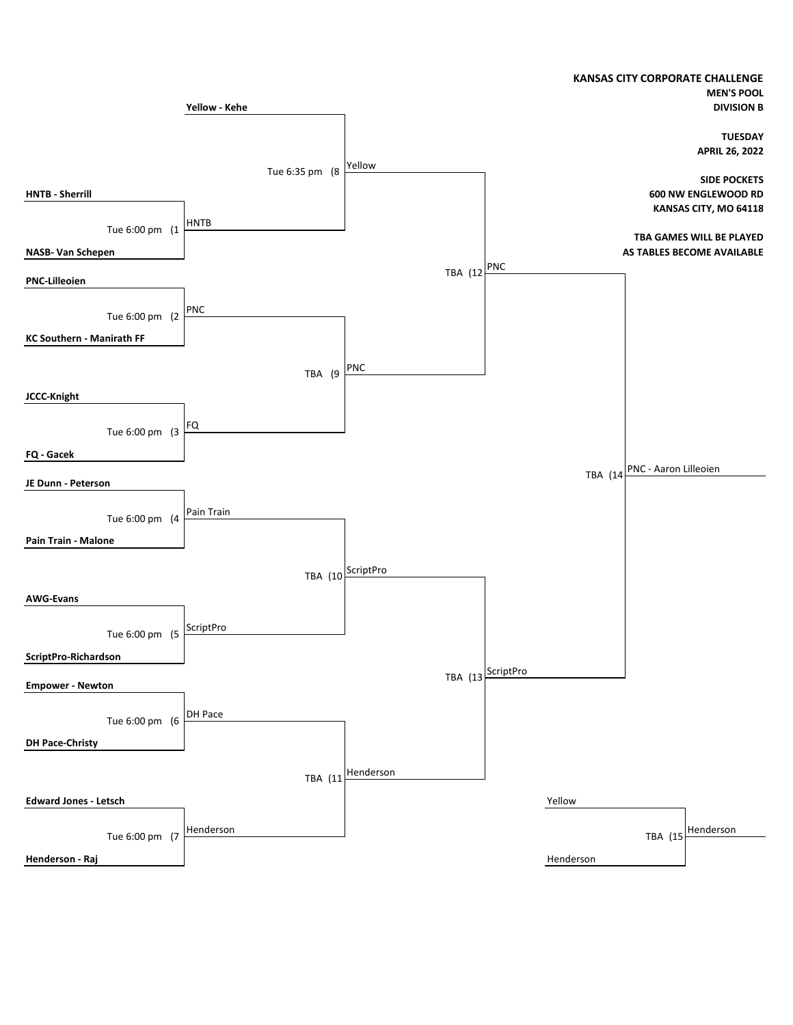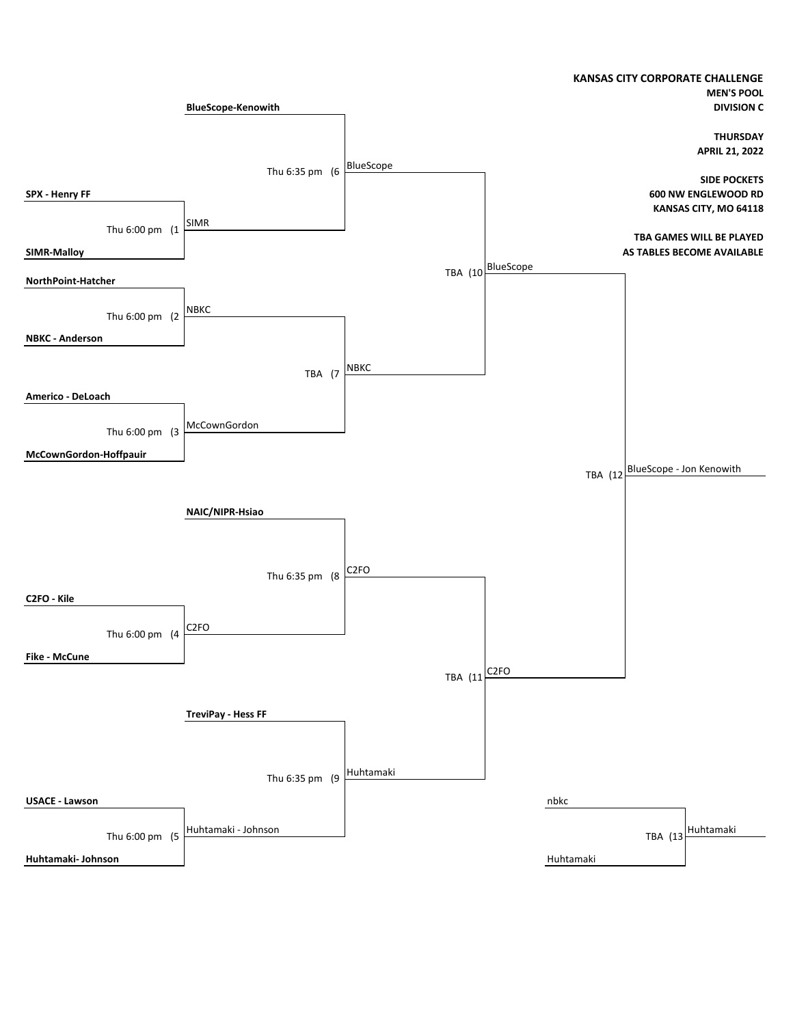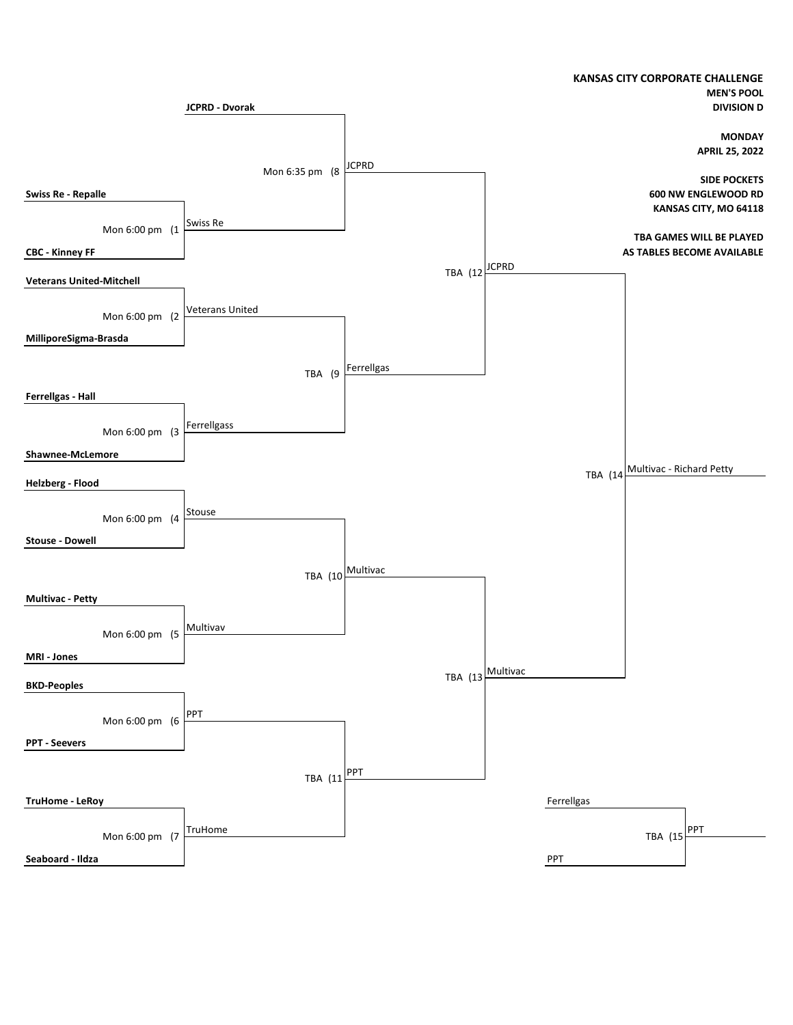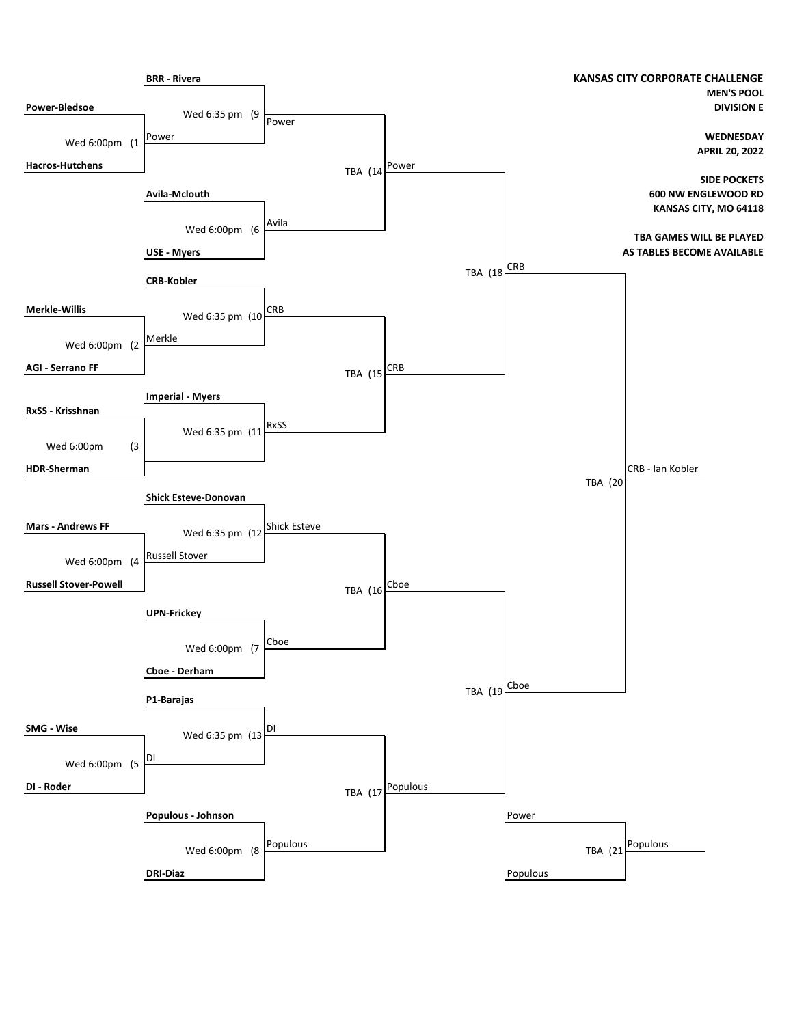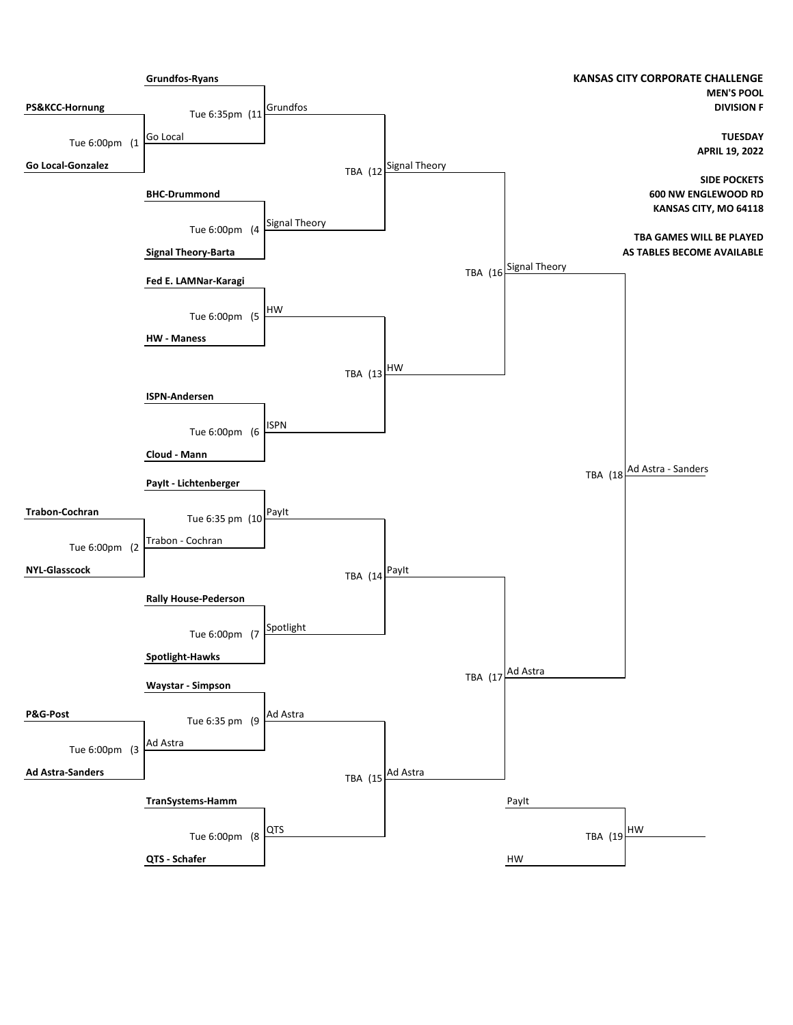